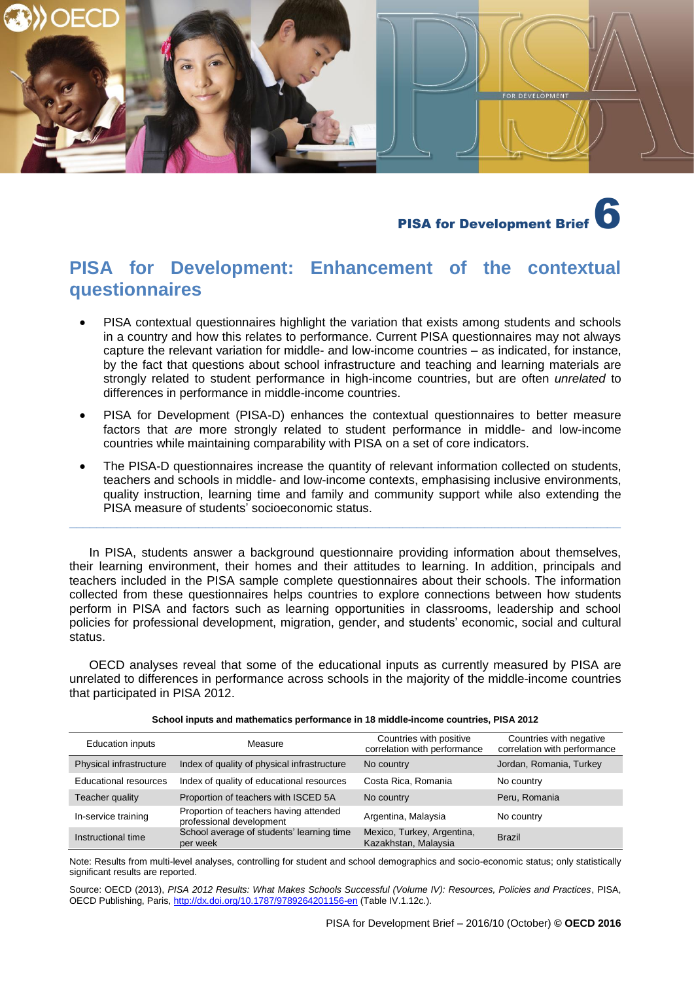

# **PISA for Development Brief**

# **PISA for Development: Enhancement of the contextual questionnaires**

- PISA contextual questionnaires highlight the variation that exists among students and schools in a country and how this relates to performance. Current PISA questionnaires may not always capture the relevant variation for middle- and low-income countries – as indicated, for instance, by the fact that questions about school infrastructure and teaching and learning materials are strongly related to student performance in high-income countries, but are often *unrelated* to differences in performance in middle-income countries.
- PISA for Development (PISA-D) enhances the contextual questionnaires to better measure factors that *are* more strongly related to student performance in middle- and low-income countries while maintaining comparability with PISA on a set of core indicators.
- The PISA-D questionnaires increase the quantity of relevant information collected on students, teachers and schools in middle- and low-income contexts, emphasising inclusive environments, quality instruction, learning time and family and community support while also extending the PISA measure of students' socioeconomic status.

**\_\_\_\_\_\_\_\_\_\_\_\_\_\_\_\_\_\_\_\_\_\_\_\_\_\_\_\_\_\_\_\_\_\_\_\_\_\_\_\_\_\_\_\_\_\_\_\_\_\_\_\_\_\_\_\_\_\_\_\_\_\_\_\_\_\_\_\_\_\_\_\_\_\_\_\_\_\_\_\_\_**

In PISA, students answer a background questionnaire providing information about themselves, their learning environment, their homes and their attitudes to learning. In addition, principals and teachers included in the PISA sample complete questionnaires about their schools. The information collected from these questionnaires helps countries to explore connections between how students perform in PISA and factors such as learning opportunities in classrooms, leadership and school policies for professional development, migration, gender, and students' economic, social and cultural status.

OECD analyses reveal that some of the educational inputs as currently measured by PISA are unrelated to differences in performance across schools in the majority of the middle-income countries that participated in PISA 2012.

| <b>Education inputs</b>      | Measure                                                            | Countries with positive<br>correlation with performance | Countries with negative<br>correlation with performance |
|------------------------------|--------------------------------------------------------------------|---------------------------------------------------------|---------------------------------------------------------|
| Physical infrastructure      | Index of quality of physical infrastructure                        | No country                                              | Jordan, Romania, Turkey                                 |
| <b>Educational resources</b> | Index of quality of educational resources                          | Costa Rica, Romania                                     | No country                                              |
| Teacher quality              | Proportion of teachers with ISCED 5A                               | No country                                              | Peru, Romania                                           |
| In-service training          | Proportion of teachers having attended<br>professional development | Argentina, Malaysia                                     | No country                                              |
| Instructional time           | School average of students' learning time<br>per week              | Mexico, Turkey, Argentina,<br>Kazakhstan, Malaysia      | <b>Brazil</b>                                           |

**School inputs and mathematics performance in 18 middle-income countries, PISA 2012**

Note: Results from multi-level analyses, controlling for student and school demographics and socio-economic status; only statistically significant results are reported.

Source: OECD (2013), *PISA 2012 Results: What Makes Schools Successful (Volume IV): Resources, Policies and Practices*, PISA, OECD Publishing, Paris,<http://dx.doi.org/10.1787/9789264201156-en> (Table IV.1.12c.).